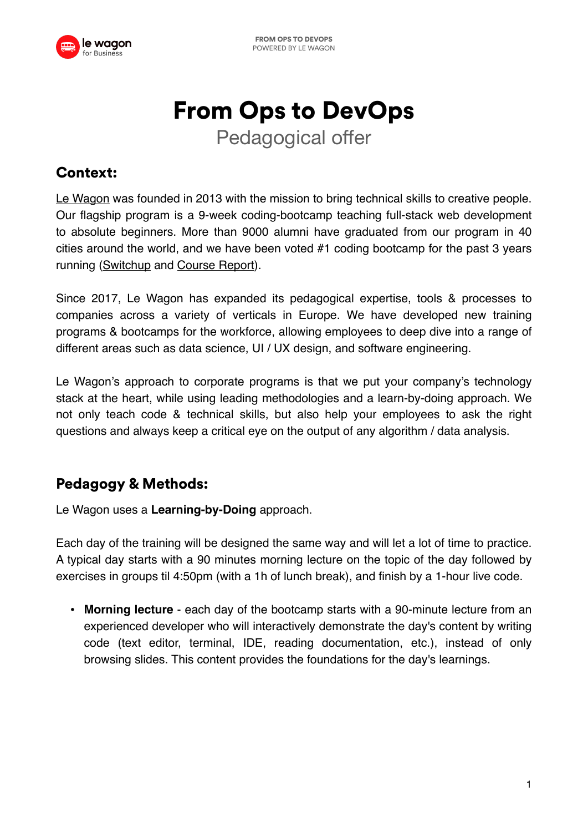

# From Ops to DevOps

Pedagogical offer

# Context:

[Le Wagon](https://www.lewagon.com/) was founded in 2013 with the mission to bring technical skills to creative people. Our flagship program is a 9-week coding-bootcamp teaching full-stack web development to absolute beginners. More than 9000 alumni have graduated from our program in 40 cities around the world, and we have been voted #1 coding bootcamp for the past 3 years running [\(Switchup](https://www.switchup.org/rankings/best-coding-bootcamps) and [Course Report](https://www.coursereport.com/tracks/full-stack-developer)).

Since 2017, Le Wagon has expanded its pedagogical expertise, tools & processes to companies across a variety of verticals in Europe. We have developed new training programs & bootcamps for the workforce, allowing employees to deep dive into a range of different areas such as data science, UI / UX design, and software engineering.

Le Wagon's approach to corporate programs is that we put your company's technology stack at the heart, while using leading methodologies and a learn-by-doing approach. We not only teach code & technical skills, but also help your employees to ask the right questions and always keep a critical eye on the output of any algorithm / data analysis.

# Pedagogy & Methods:

Le Wagon uses a **Learning-by-Doing** approach.

Each day of the training will be designed the same way and will let a lot of time to practice. A typical day starts with a 90 minutes morning lecture on the topic of the day followed by exercises in groups til 4:50pm (with a 1h of lunch break), and finish by a 1-hour live code.

• **Morning lecture** - each day of the bootcamp starts with a 90-minute lecture from an experienced developer who will interactively demonstrate the day's content by writing code (text editor, terminal, IDE, reading documentation, etc.), instead of only browsing slides. This content provides the foundations for the day's learnings.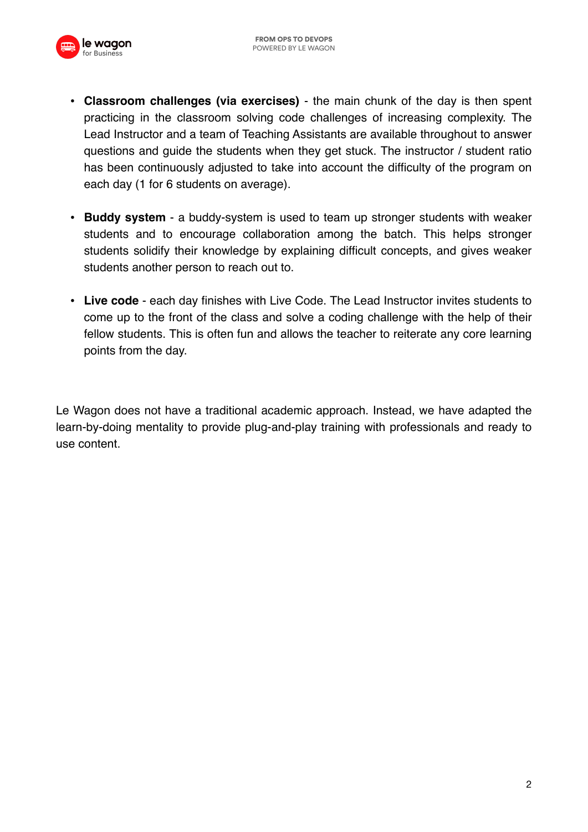

- **Classroom challenges (via exercises)** the main chunk of the day is then spent practicing in the classroom solving code challenges of increasing complexity. The Lead Instructor and a team of Teaching Assistants are available throughout to answer questions and guide the students when they get stuck. The instructor / student ratio has been continuously adjusted to take into account the difficulty of the program on each day (1 for 6 students on average).
- **Buddy system** a buddy-system is used to team up stronger students with weaker students and to encourage collaboration among the batch. This helps stronger students solidify their knowledge by explaining difficult concepts, and gives weaker students another person to reach out to.
- **Live code** each day finishes with Live Code. The Lead Instructor invites students to come up to the front of the class and solve a coding challenge with the help of their fellow students. This is often fun and allows the teacher to reiterate any core learning points from the day.

Le Wagon does not have a traditional academic approach. Instead, we have adapted the learn-by-doing mentality to provide plug-and-play training with professionals and ready to use content.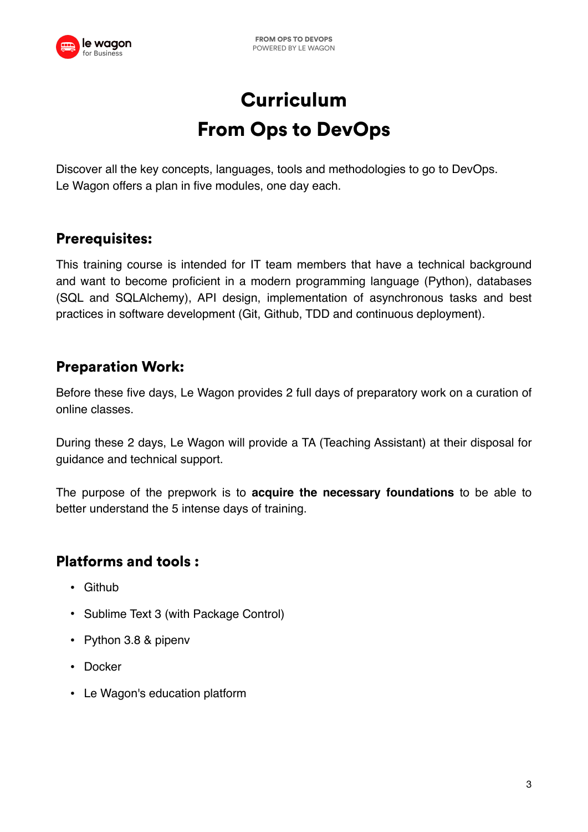

# **Curriculum** From Ops to DevOps

Discover all the key concepts, languages, tools and methodologies to go to DevOps. Le Wagon offers a plan in five modules, one day each.

# Prerequisites:

This training course is intended for IT team members that have a technical background and want to become proficient in a modern programming language (Python), databases (SQL and SQLAlchemy), API design, implementation of asynchronous tasks and best practices in software development (Git, Github, TDD and continuous deployment).

# Preparation Work:

Before these five days, Le Wagon provides 2 full days of preparatory work on a curation of online classes.

During these 2 days, Le Wagon will provide a TA (Teaching Assistant) at their disposal for guidance and technical support.

The purpose of the prepwork is to **acquire the necessary foundations** to be able to better understand the 5 intense days of training.

#### Platforms and tools :

- [Github](https://github.com/)
- [Sublime Text 3](https://www.sublimetext.com/3) (with Package Control)
- [Python 3.8](https://www.python.org/downloads/release/python-380/) & pipenv
- Docker
- [Le Wagon's education platform](https://learn.lewagon.com/)